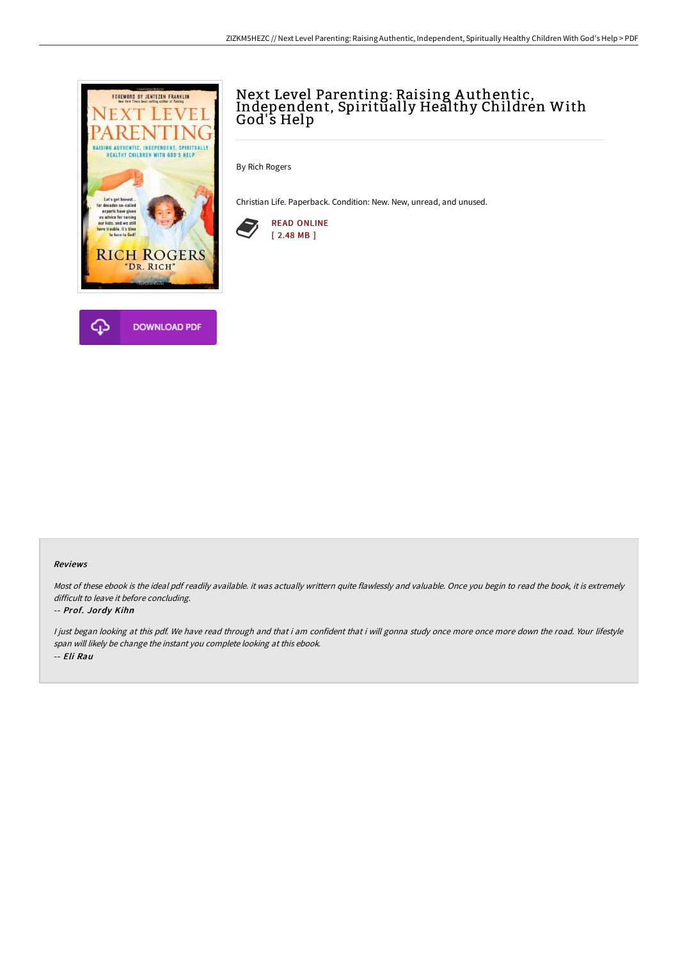

# Next Level Parenting: Raising A uthentic, Independent, Spiritually Healthy Children With God's Help

By Rich Rogers

Christian Life. Paperback. Condition: New. New, unread, and unused.



#### Reviews

Most of these ebook is the ideal pdf readily available. it was actually writtern quite flawlessly and valuable. Once you begin to read the book, it is extremely difficult to leave it before concluding.

### -- Prof. Jordy Kihn

I just began looking at this pdf. We have read through and that i am confident that i will gonna study once more once more down the road. Your lifestyle span will likely be change the instant you complete looking at this ebook. -- Eli Rau